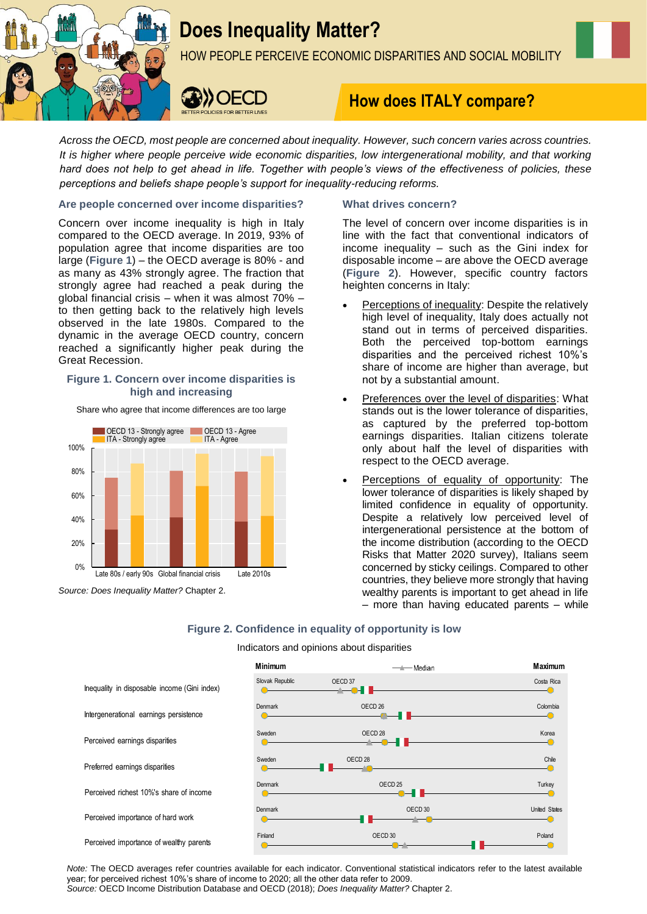

# **Does Inequality Matter?**

HOW PEOPLE PERCEIVE ECONOMIC DISPARITIES AND SOCIAL MOBILITY



## **How does ITALY compare?**

*Across the OECD, most people are concerned about inequality. However, such concern varies across countries. It is higher where people perceive wide economic disparities, low intergenerational mobility, and that working hard does not help to get ahead in life. Together with people's views of the effectiveness of policies, these perceptions and beliefs shape people's support for inequality-reducing reforms.*

#### **Are people concerned over income disparities?**

Concern over income inequality is high in Italy compared to the OECD average. In 2019, 93% of population agree that income disparities are too large (**Figure 1**) – the OECD average is 80% - and as many as 43% strongly agree. The fraction that strongly agree had reached a peak during the global financial crisis – when it was almost 70% – to then getting back to the relatively high levels observed in the late 1980s. Compared to the dynamic in the average OECD country, concern reached a significantly higher peak during the Great Recession.

#### **Figure 1. Concern over income disparities is high and increasing**



Share who agree that income differences are too large

#### **What drives concern?**

The level of concern over income disparities is in line with the fact that conventional indicators of income inequality – such as the Gini index for disposable income – are above the OECD average (**Figure 2**). However, specific country factors heighten concerns in Italy:

- Perceptions of inequality: Despite the relatively high level of inequality, Italy does actually not stand out in terms of perceived disparities. Both the perceived top-bottom earnings disparities and the perceived richest 10%'s share of income are higher than average, but not by a substantial amount.
- Preferences over the level of disparities: What stands out is the lower tolerance of disparities, as captured by the preferred top-bottom earnings disparities. Italian citizens tolerate only about half the level of disparities with respect to the OECD average.
- Perceptions of equality of opportunity: The lower tolerance of disparities is likely shaped by limited confidence in equality of opportunity. Despite a relatively low perceived level of intergenerational persistence at the bottom of the income distribution (according to the OECD Risks that Matter 2020 survey), Italians seem concerned by sticky ceilings. Compared to other countries, they believe more strongly that having wealthy parents is important to get ahead in life – more than having educated parents – while

### **Figure 2. Confidence in equality of opportunity is low**

#### Indicators and opinions about disparities



*Note:* The OECD averages refer countries available for each indicator. Conventional statistical indicators refer to the latest available year; for perceived richest 10%'s share of income to 2020; all the other data refer to 2009.

*Source:* OECD Income Distribution Database and OECD (2018); *Does Inequality Matter?* Chapter 2.